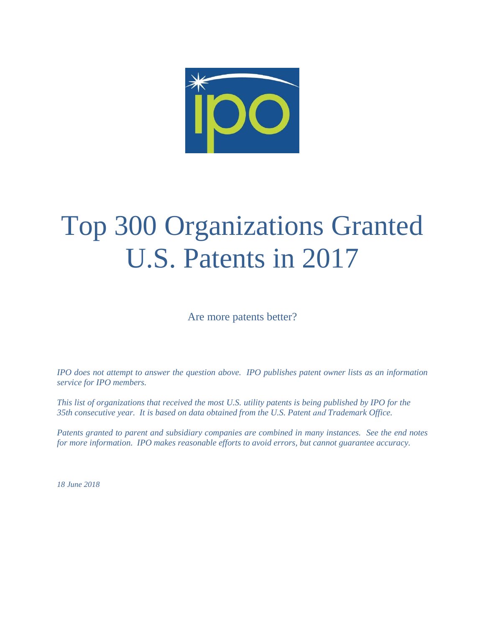

# Top 300 Organizations Granted U.S. Patents in 2017

Are more patents better?

*IPO does not attempt to answer the question above. IPO publishes patent owner lists as an information service for IPO members.* 

*This list of organizations that received the most U.S. utility patents is being published by IPO for the 35th consecutive year. It is based on data obtained from the U.S. Patent and Trademark Office.* 

*Patents granted to parent and subsidiary companies are combined in many instances. See the end notes for more information. IPO makes reasonable efforts to avoid errors, but cannot guarantee accuracy.* 

*18 June 2018*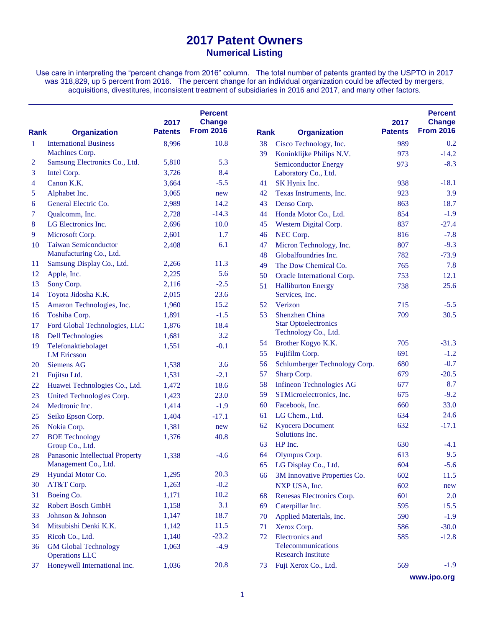Use care in interpreting the "percent change from 2016" column. The total number of patents granted by the USPTO in 2017 was 318,829, up 5 percent from 2016. The percent change for an individual organization could be affected by mergers, acquisitions, divestitures, inconsistent treatment of subsidiaries in 2016 and 2017, and many other factors.

| <b>Rank</b>    | <b>Organization</b>                                  | 2017<br><b>Patents</b> | <b>Percent</b><br><b>Change</b><br><b>From 2016</b> | <b>Rank</b> | <b>Organization</b>                             | 2017<br><b>Patents</b> | <b>Percent</b><br><b>Change</b><br><b>From 2016</b> |
|----------------|------------------------------------------------------|------------------------|-----------------------------------------------------|-------------|-------------------------------------------------|------------------------|-----------------------------------------------------|
| 1              | <b>International Business</b>                        | 8,996                  | 10.8                                                | 38          | Cisco Technology, Inc.                          | 989                    | 0.2                                                 |
|                | Machines Corp.                                       |                        |                                                     | 39          | Koninklijke Philips N.V.                        | 973                    | $-14.2$                                             |
| $\overline{2}$ | Samsung Electronics Co., Ltd.                        | 5,810                  | 5.3                                                 |             | <b>Semiconductor Energy</b>                     | 973                    | $-8.3$                                              |
| 3              | Intel Corp.                                          | 3,726                  | 8.4                                                 |             | Laboratory Co., Ltd.                            |                        |                                                     |
| 4              | Canon K.K.                                           | 3,664                  | $-5.5$                                              | 41          | SK Hynix Inc.                                   | 938                    | $-18.1$                                             |
| 5              | Alphabet Inc.                                        | 3,065                  | new                                                 | 42          | Texas Instruments, Inc.                         | 923                    | 3.9                                                 |
| 6              | General Electric Co.                                 | 2,989                  | 14.2                                                | 43          | Denso Corp.                                     | 863                    | 18.7                                                |
| 7              | Qualcomm, Inc.                                       | 2,728                  | $-14.3$                                             | 44          | Honda Motor Co., Ltd.                           | 854                    | $-1.9$                                              |
| 8              | LG Electronics Inc.                                  | 2,696                  | 10.0                                                | 45          | Western Digital Corp.                           | 837                    | $-27.4$                                             |
| 9              | Microsoft Corp.                                      | 2,601                  | 1.7                                                 | 46          | NEC Corp.                                       | 816                    | $-7.8$                                              |
| 10             | <b>Taiwan Semiconductor</b>                          | 2,408                  | 6.1                                                 | 47          | Micron Technology, Inc.                         | 807                    | $-9.3$                                              |
|                | Manufacturing Co., Ltd.                              |                        |                                                     | 48          | Globalfoundries Inc.                            | 782                    | $-73.9$                                             |
| 11             | Samsung Display Co., Ltd.                            | 2,266                  | 11.3                                                | 49          | The Dow Chemical Co.                            | 765                    | 7.8                                                 |
| 12             | Apple, Inc.                                          | 2,225                  | 5.6                                                 | 50          | Oracle International Corp.                      | 753                    | 12.1                                                |
| 13             | Sony Corp.                                           | 2,116                  | $-2.5$                                              | 51          | <b>Halliburton Energy</b>                       | 738                    | 25.6                                                |
| 14             | Toyota Jidosha K.K.                                  | 2,015                  | 23.6                                                |             | Services, Inc.                                  |                        |                                                     |
| 15             | Amazon Technologies, Inc.                            | 1,960                  | 15.2                                                | 52          | Verizon                                         | 715                    | $-5.5$                                              |
| 16             | Toshiba Corp.                                        | 1,891                  | $-1.5$                                              | 53          | Shenzhen China                                  | 709                    | 30.5                                                |
| 17             | Ford Global Technologies, LLC                        | 1,876                  | 18.4                                                |             | <b>Star Optoelectronics</b>                     |                        |                                                     |
| 18             | <b>Dell Technologies</b>                             | 1,681                  | 3.2                                                 |             | Technology Co., Ltd.                            |                        |                                                     |
| 19             | Telefonaktiebolaget                                  | 1,551                  | $-0.1$                                              | 54          | Brother Kogyo K.K.                              | 705                    | $-31.3$                                             |
|                | <b>LM</b> Ericsson                                   |                        |                                                     | 55          | Fujifilm Corp.                                  | 691                    | $-1.2$                                              |
| 20             | <b>Siemens AG</b>                                    | 1,538                  | 3.6                                                 | 56          | Schlumberger Technology Corp.                   | 680                    | $-0.7$                                              |
| 21             | Fujitsu Ltd.                                         | 1,531                  | $-2.1$                                              | 57          | Sharp Corp.                                     | 679                    | $-20.5$                                             |
| 22             | Huawei Technologies Co., Ltd.                        | 1,472                  | 18.6                                                | 58          | <b>Infineon Technologies AG</b>                 | 677                    | 8.7                                                 |
| 23             | United Technologies Corp.                            | 1,423                  | 23.0                                                | 59          | STMicroelectronics, Inc.                        | 675                    | $-9.2$                                              |
| 24             | Medtronic Inc.                                       | 1,414                  | $-1.9$                                              | 60          | Facebook, Inc.                                  | 660                    | 33.0                                                |
| 25             | Seiko Epson Corp.                                    | 1,404                  | $-17.1$                                             | 61          | LG Chem., Ltd.                                  | 634                    | 24.6                                                |
| 26             | Nokia Corp.                                          | 1,381                  | new                                                 | 62          | <b>Kyocera Document</b>                         | 632                    | $-17.1$                                             |
| 27             | <b>BOE</b> Technology                                | 1,376                  | 40.8                                                |             | Solutions Inc.                                  |                        |                                                     |
|                | Group Co., Ltd.                                      |                        |                                                     | 63          | HP Inc.                                         | 630                    | $-4.1$                                              |
| 28             | Panasonic Intellectual Property                      | 1,338                  | $-4.6$                                              | 64          | Olympus Corp.                                   | 613                    | 9.5                                                 |
|                | Management Co., Ltd.                                 |                        |                                                     | 65          | LG Display Co., Ltd.                            | 604                    | $-5.6$                                              |
| 29             | Hyundai Motor Co.                                    | 1,295                  | 20.3                                                | 66          | 3M Innovative Properties Co.                    | 602                    | 11.5                                                |
| 30             | AT&T Corp.                                           | 1,263                  | $-0.2$                                              |             | NXP USA, Inc.                                   | 602                    | new                                                 |
| 31             | Boeing Co.                                           | 1,171                  | 10.2                                                | 68          | Renesas Electronics Corp.                       | 601                    | 2.0                                                 |
| 32             | Robert Bosch GmbH                                    | 1,158                  | 3.1                                                 | 69          | Caterpillar Inc.                                | 595                    | 15.5                                                |
| 33             | Johnson & Johnson                                    | 1,147                  | 18.7                                                | 70          | Applied Materials, Inc.                         | 590                    | $-1.9$                                              |
| 34             | Mitsubishi Denki K.K.                                | 1,142                  | 11.5                                                | 71          | Xerox Corp.                                     | 586                    | $-30.0$                                             |
| 35             | Ricoh Co., Ltd.                                      | 1,140                  | $-23.2$                                             | 72          | <b>Electronics</b> and                          | 585                    | $-12.8$                                             |
| 36             | <b>GM Global Technology</b><br><b>Operations LLC</b> | 1,063                  | $-4.9$                                              |             | Telecommunications<br><b>Research Institute</b> |                        |                                                     |
| 37             | Honeywell International Inc.                         | 1,036                  | 20.8                                                | 73          | Fuji Xerox Co., Ltd.                            | 569                    | $-1.9$                                              |

**www.ipo.org**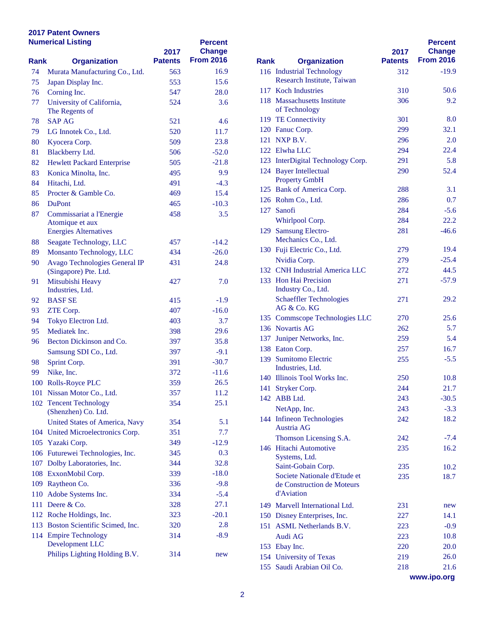|      | <b>Numerical Listing</b>                    | 2017           | <b>Percent</b><br><b>Change</b> |             |                                              |
|------|---------------------------------------------|----------------|---------------------------------|-------------|----------------------------------------------|
| Rank | <b>Organization</b>                         | <b>Patents</b> | <b>From 2016</b>                | <b>Rank</b> | <b>Organization</b>                          |
| 74   | Murata Manufacturing Co., Ltd.              | 563            | 16.9                            |             | 116 Industrial Technology                    |
| 75   | Japan Display Inc.                          | 553            | 15.6                            |             | Research Institute, Tai                      |
| 76   | Corning Inc.                                | 547            | 28.0                            |             | 117 Koch Industries                          |
| 77   | University of California,<br>The Regents of | 524            | 3.6                             |             | 118 Massachusetts Institute<br>of Technology |
| 78   | <b>SAP AG</b>                               | 521            | 4.6                             |             | 119 TE Connectivity                          |
| 79   | LG Innotek Co., Ltd.                        | 520            | 11.7                            |             | 120 Fanuc Corp.                              |
| 80   | Kyocera Corp.                               | 509            | 23.8                            |             | 121 NXP B.V.                                 |
| 81   | Blackberry Ltd.                             | 506            | $-52.0$                         |             | 122 Elwha LLC                                |
| 82   | <b>Hewlett Packard Enterprise</b>           | 505            | $-21.8$                         |             | 123 InterDigital Technolog                   |
| 83   | Konica Minolta, Inc.                        | 495            | 9.9                             |             | 124 Bayer Intellectual                       |
| 84   | Hitachi, Ltd.                               | 491            | $-4.3$                          |             | <b>Property GmbH</b>                         |
| 85   | Procter & Gamble Co.                        | 469            | 15.4                            |             | 125 Bank of America Corp                     |
| 86   | <b>DuPont</b>                               | 465            | $-10.3$                         |             | 126 Rohm Co., Ltd.                           |
| 87   | Commissariat a l'Energie                    | 458            | 3.5                             |             | 127 Sanofi                                   |
|      | Atomique et aux                             |                |                                 |             | Whirlpool Corp.                              |
|      | <b>Energies Alternatives</b>                |                |                                 |             | 129 Samsung Electro-                         |
| 88   | Seagate Technology, LLC                     | 457            | -14.2                           |             | Mechanics Co., Ltd.                          |
| 89   | Monsanto Technology, LLC                    | 434            | $-26.0$                         |             | 130 Fuji Electric Co., Ltd.                  |
| 90   | Avago Technologies General IP               | 431            | 24.8                            |             | Nvidia Corp.                                 |
|      | (Singapore) Pte. Ltd.                       |                |                                 |             | 132 CNH Industrial Ameri                     |
| 91   | Mitsubishi Heavy                            | 427            | 7.0                             |             | 133 Hon Hai Precision                        |
|      | Industries, Ltd.                            |                |                                 |             | Industry Co., Ltd.                           |
| 92   | <b>BASF SE</b>                              | 415            | $-1.9$                          |             | Schaeffler Technologie                       |
| 93   | ZTE Corp.                                   | 407            | $-16.0$                         |             | AG & Co. KG                                  |
| 94   | Tokyo Electron Ltd.                         | 403            | 3.7                             |             | 135 Commscope Technolo                       |
| 95   | Mediatek Inc.                               | 398            | 29.6                            |             | 136 Novartis AG                              |
| 96   | Becton Dickinson and Co.                    | 397            | 35.8                            |             | 137 Juniper Networks, Inc.                   |
|      | Samsung SDI Co., Ltd.                       | 397            | $-9.1$                          |             | 138 Eaton Corp.                              |
| 98   | Sprint Corp.                                | 391            | $-30.7$                         |             | 139 Sumitomo Electric                        |
| 99   | Nike, Inc.                                  | 372            | $-11.6$                         |             | Industries, Ltd.                             |
|      | 100 Rolls-Royce PLC                         | 359            | 26.5                            |             | 140 Illinois Tool Works In                   |
|      | 101 Nissan Motor Co., Ltd.                  | 357            | 11.2                            |             | 141 Stryker Corp.                            |
|      | 102 Tencent Technology                      | 354            | 25.1                            |             | 142 ABB Ltd.                                 |
|      | (Shenzhen) Co. Ltd.                         |                |                                 |             | NetApp, Inc.                                 |
|      | United States of America, Navy              | 354            | 5.1                             |             | 144 Infineon Technologies                    |
|      | 104 United Microelectronics Corp.           | 351            | 7.7                             |             | Austria AG                                   |
|      | 105 Yazaki Corp.                            | 349            | $-12.9$                         |             | Thomson Licensing S.                         |
|      | 106 Futurewei Technologies, Inc.            | 345            | 0.3                             |             | 146 Hitachi Automotive<br>Systems, Ltd.      |
|      | 107 Dolby Laboratories, Inc.                | 344            | 32.8                            |             | Saint-Gobain Corp.                           |
|      | 108 ExxonMobil Corp.                        | 339            | $-18.0$                         |             | Societe Nationale d'Et                       |
|      | 109 Raytheon Co.                            | 336            | $-9.8$                          |             | de Construction de Mo                        |
|      | 110 Adobe Systems Inc.                      | 334            | $-5.4$                          |             | d'Aviation                                   |
|      | 111 Deere & Co.                             | 328            | 27.1                            |             | 149 Marvell International I                  |
|      | 112 Roche Holdings, Inc.                    | 323            | $-20.1$                         |             | 150 Disney Enterprises, Inc                  |
|      | 113 Boston Scientific Scimed, Inc.          | 320            | 2.8                             |             | 151 ASML Netherlands B.                      |
|      | 114 Empire Technology                       | 314            | $-8.9$                          |             | Audi AG                                      |
|      | Development LLC                             |                |                                 |             | 153 Ebay Inc.                                |
|      | Philips Lighting Holding B.V.               | 314            | new                             |             | 154 University of Texas                      |
|      |                                             |                |                                 |             |                                              |

|             |                                                    | 2017           | <b>Percent</b><br><b>Change</b> |
|-------------|----------------------------------------------------|----------------|---------------------------------|
| <b>Rank</b> | <b>Organization</b>                                | <b>Patents</b> | <b>From 2016</b>                |
|             | 116 Industrial Technology                          | 312            | $-19.9$                         |
|             | Research Institute, Taiwan                         |                |                                 |
|             | 117 Koch Industries                                | 310            | 50.6                            |
|             | 118 Massachusetts Institute<br>of Technology       | 306            | 9.2                             |
|             | 119 TE Connectivity                                | 301            | 8.0                             |
|             | 120 Fanuc Corp.                                    | 299            | 32.1                            |
|             | 121 NXP B.V.                                       | 296            | 2.0                             |
|             | 122 Elwha LLC                                      | 294            | 22.4                            |
|             | 123 InterDigital Technology Corp.                  | 291            | 5.8                             |
|             | 124 Bayer Intellectual                             | 290            | 52.4                            |
|             | <b>Property GmbH</b>                               |                |                                 |
|             | 125 Bank of America Corp.                          | 288            | 3.1                             |
|             | 126 Rohm Co., Ltd.                                 | 286            | 0.7                             |
|             | 127 Sanofi                                         | 284            | $-5.6$                          |
|             | Whirlpool Corp.                                    | 284            | 22.2                            |
|             | 129 Samsung Electro-                               | 281            | $-46.6$                         |
|             | Mechanics Co., Ltd.<br>130 Fuji Electric Co., Ltd. | 279            | 19.4                            |
|             | Nvidia Corp.                                       | 279            | $-25.4$                         |
|             | 132 CNH Industrial America LLC                     | 272            | 44.5                            |
|             | 133 Hon Hai Precision                              | 271            | $-57.9$                         |
|             | Industry Co., Ltd.                                 |                |                                 |
|             | <b>Schaeffler Technologies</b>                     | 271            | 29.2                            |
|             | AG & Co. KG                                        |                |                                 |
|             | 135 Commscope Technologies LLC                     | 270            | 25.6                            |
|             | 136 Novartis AG                                    | 262            | 5.7                             |
|             | 137 Juniper Networks, Inc.                         | 259            | 5.4                             |
|             | 138 Eaton Corp.                                    | 257            | 16.7                            |
|             | 139 Sumitomo Electric<br>Industries, Ltd.          | 255            | $-5.5$                          |
|             | 140 Illinois Tool Works Inc.                       | 250            | 10.8                            |
| 141         | Stryker Corp.                                      | 244            | 21.7                            |
|             | 142 ABB Ltd.                                       | 243            | $-30.5$                         |
|             | NetApp, Inc.                                       | 243            | $-3.3$                          |
|             | 144 Infineon Technologies                          | 242            | 18.2                            |
|             | Austria AG                                         |                |                                 |
|             | Thomson Licensing S.A.                             | 242            | $-7.4$                          |
|             | 146 Hitachi Automotive                             | 235            | 16.2                            |
|             | Systems, Ltd.<br>Saint-Gobain Corp.                | 235            | 10.2                            |
|             | Societe Nationale d'Etude et                       | 235            | 18.7                            |
|             | de Construction de Moteurs<br>d'Aviation           |                |                                 |
|             | 149 Marvell International Ltd.                     | 231            | new                             |
|             | 150 Disney Enterprises, Inc.                       | 227            | 14.1                            |
|             | 151 ASML Netherlands B.V.                          | 223            | $-0.9$                          |
|             | Audi AG                                            | 223            | 10.8                            |
|             | 153 Ebay Inc.                                      | 220            | 20.0                            |
|             | 154 University of Texas                            | 219            | 26.0                            |
|             | 155 Saudi Arabian Oil Co.                          | 218            | 21.6                            |
|             |                                                    |                | www.ipo.org                     |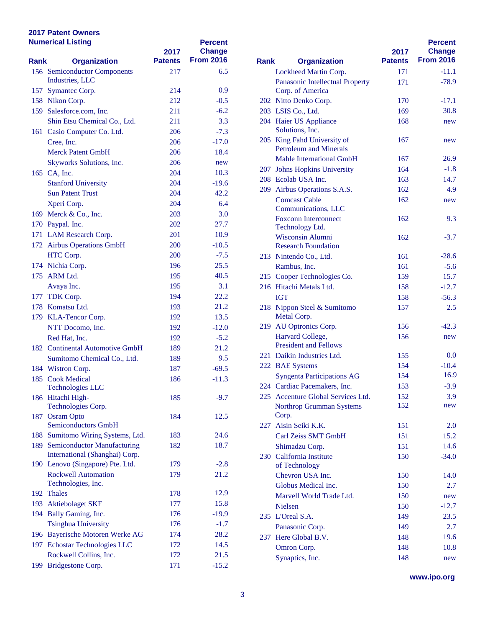| <b>Numerical Listing</b> |                                                                   | 2017           | <b>Percent</b><br><b>Change</b> |             |                                           |
|--------------------------|-------------------------------------------------------------------|----------------|---------------------------------|-------------|-------------------------------------------|
| Rank                     | <b>Organization</b>                                               | <b>Patents</b> | <b>From 2016</b>                | <b>Rank</b> | <b>Organization</b>                       |
|                          | 156 Semiconductor Components<br>Industries, LLC                   | 217            | 6.5                             |             | <b>Lockheed Martin Corp</b>               |
|                          |                                                                   | 214            | 0.9                             |             | Panasonic Intellectual                    |
|                          | 157 Symantec Corp.<br>158 Nikon Corp.                             | 212            | $-0.5$                          |             | Corp. of America<br>202 Nitto Denko Corp. |
|                          | 159 Salesforce.com, Inc.                                          | 211            | $-6.2$                          |             | 203 LSIS Co., Ltd.                        |
|                          | Shin Etsu Chemical Co., Ltd.                                      | 211            | 3.3                             |             | 204 Haier US Appliance                    |
|                          |                                                                   | 206            | $-7.3$                          |             | Solutions, Inc.                           |
|                          | 161 Casio Computer Co. Ltd.                                       |                | $-17.0$                         |             | 205 King Fahd University                  |
|                          | Cree, Inc.<br><b>Merck Patent GmbH</b>                            | 206            | 18.4                            |             | <b>Petroleum</b> and Mineral              |
|                          |                                                                   | 206            |                                 |             | <b>Mahle International G</b>              |
|                          | Skyworks Solutions, Inc.                                          | 206            | new                             |             | 207 Johns Hopkins Univer                  |
|                          | 165 CA, Inc.                                                      | 204            | 10.3                            |             | 208 Ecolab USA Inc.                       |
|                          | <b>Stanford University</b>                                        | 204            | $-19.6$                         |             | 209 Airbus Operations S.A                 |
|                          | <b>Sun Patent Trust</b>                                           | 204            | 42.2.                           |             | <b>Comcast Cable</b>                      |
|                          | Xperi Corp.                                                       | 204            | 6.4                             |             | Communications, LLC                       |
|                          | 169 Merck & Co., Inc.                                             | 203            | 3.0                             |             | <b>Foxconn Interconnect</b>               |
|                          | 170 Paypal. Inc.                                                  | 202            | 27.7                            |             | Technology Ltd.                           |
|                          | 171 LAM Research Corp.                                            | 201            | 10.9                            |             | <b>Wisconsin Alumni</b>                   |
|                          | 172 Airbus Operations GmbH                                        | 200            | $-10.5$                         |             | <b>Research Foundation</b>                |
|                          | HTC Corp.                                                         | 200            | $-7.5$                          |             | 213 Nintendo Co., Ltd.                    |
|                          | 174 Nichia Corp.                                                  | 196            | 25.5                            |             | Rambus, Inc.                              |
|                          | 175 ARM Ltd.                                                      | 195            | 40.5                            |             | 215 Cooper Technologies                   |
|                          | Avaya Inc.                                                        | 195            | 3.1                             |             | 216 Hitachi Metals Ltd.                   |
|                          | 177 TDK Corp.                                                     | 194            | 22.2                            |             | <b>IGT</b>                                |
|                          | 178 Komatsu Ltd.                                                  | 193            | 21.2                            |             | 218 Nippon Steel & Sumit                  |
|                          | 179 KLA-Tencor Corp.                                              | 192            | 13.5                            |             | Metal Corp.                               |
|                          | NTT Docomo, Inc.                                                  | 192            | $-12.0$                         |             | 219 AU Optronics Corp.                    |
|                          | Red Hat, Inc.                                                     | 192            | $-5.2$                          |             | Harvard College,                          |
|                          | 182 Continental Automotive GmbH                                   | 189            | 21.2                            |             | <b>President and Fellows</b>              |
|                          | Sumitomo Chemical Co., Ltd.                                       | 189            | 9.5                             |             | 221 Daikin Industries Ltd.                |
|                          | 184 Wistron Corp.                                                 | 187            | $-69.5$                         |             | 222 BAE Systems                           |
|                          | 185 Cook Medical                                                  | 186            | $-11.3$                         |             | <b>Syngenta Participation</b>             |
|                          | <b>Technologies LLC</b>                                           |                |                                 |             | 224 Cardiac Pacemakers, I                 |
|                          | 186 Hitachi High-                                                 | 185            | $-9.7$                          |             | 225 Accenture Global Serv                 |
|                          | Technologies Corp.                                                |                |                                 |             | Northrop Grumman Sy                       |
|                          | 187 Osram Opto                                                    | 184            | 12.5                            |             | Corp.                                     |
|                          | <b>Semiconductors GmbH</b>                                        |                |                                 |             | 227 Aisin Seiki K.K.                      |
|                          | 188 Sumitomo Wiring Systems, Ltd.                                 | 183            | 24.6                            |             | Carl Zeiss SMT GmbH                       |
|                          | 189 Semiconductor Manufacturing<br>International (Shanghai) Corp. | 182            | 18.7                            |             | Shimadzu Corp.                            |
|                          | 190 Lenovo (Singapore) Pte. Ltd.                                  | 179            | $-2.8$                          |             | 230 California Institute                  |
|                          | <b>Rockwell Automation</b>                                        | 179            | 21.2                            |             | of Technology                             |
|                          | Technologies, Inc.                                                |                |                                 |             | Chevron USA Inc.                          |
|                          | 192 Thales                                                        | 178            | 12.9                            |             | Globus Medical Inc.                       |
|                          | 193 Aktiebolaget SKF                                              | 177            | 15.8                            |             | Marvell World Trade I                     |
|                          | 194 Bally Gaming, Inc.                                            | 176            | $-19.9$                         |             | <b>Nielsen</b>                            |
|                          | <b>Tsinghua University</b>                                        | 176            | $-1.7$                          |             | 235 L'Oreal S.A.                          |
|                          | 196 Bayerische Motoren Werke AG                                   | 174            | 28.2                            |             | Panasonic Corp.                           |
|                          | 197 Echostar Technologies LLC                                     | 172            | 14.5                            |             | 237 Here Global B.V.                      |
|                          | Rockwell Collins, Inc.                                            | 172            | 21.5                            |             | Omron Corp.                               |
| 199                      | Bridgestone Corp.                                                 | 171            | $-15.2$                         |             | Synaptics, Inc.                           |
|                          |                                                                   |                |                                 |             |                                           |

|             |                                   |                | <b>Percent</b>   |
|-------------|-----------------------------------|----------------|------------------|
|             |                                   | 2017           | <b>Change</b>    |
| <b>Rank</b> | <b>Organization</b>               | <b>Patents</b> | <b>From 2016</b> |
|             | Lockheed Martin Corp.             | 171            | $-11.1$          |
|             | Panasonic Intellectual Property   | 171            | $-78.9$          |
|             | Corp. of America                  |                |                  |
|             | 202 Nitto Denko Corp.             | 170            | $-17.1$          |
|             | 203 LSIS Co., Ltd.                | 169            | 30.8             |
|             | 204 Haier US Appliance            | 168            | new              |
|             | Solutions, Inc.                   |                |                  |
| 205         | King Fahd University of           | 167            | new              |
|             | <b>Petroleum and Minerals</b>     |                |                  |
|             | <b>Mahle International GmbH</b>   | 167            | 26.9             |
| 207         | <b>Johns Hopkins University</b>   | 164            | $-1.8$           |
|             | 208 Ecolab USA Inc.               | 163            | 14.7             |
|             | 209 Airbus Operations S.A.S.      | 162            | 4.9              |
|             | <b>Comcast Cable</b>              | 162            | new              |
|             | Communications, LLC               |                |                  |
|             | <b>Foxconn Interconnect</b>       | 162            | 9.3              |
|             | Technology Ltd.                   |                |                  |
|             | Wisconsin Alumni                  | 162            | $-3.7$           |
|             | <b>Research Foundation</b>        |                |                  |
|             | 213 Nintendo Co., Ltd.            | 161            | $-28.6$          |
|             | Rambus, Inc.                      | 161            | $-5.6$           |
|             | 215 Cooper Technologies Co.       | 159            | 15.7             |
|             | 216 Hitachi Metals Ltd.           | 158            | $-12.7$          |
|             | <b>IGT</b>                        | 158            | $-56.3$          |
|             | 218 Nippon Steel & Sumitomo       | 157            | 2.5              |
|             | Metal Corp.                       |                |                  |
| 219         | AU Optronics Corp.                | 156            | $-42.3$          |
|             | Harvard College,                  | 156            | new              |
|             | <b>President and Fellows</b>      |                |                  |
|             | 221 Daikin Industries Ltd.        | 155            | 0.0              |
|             | 222 BAE Systems                   | 154            | $-10.4$          |
|             | <b>Syngenta Participations AG</b> | 154            | 16.9             |
|             | 224 Cardiac Pacemakers, Inc.      | 153            | $-3.9$           |
| 225         | Accenture Global Services Ltd.    | 152            | 3.9              |
|             | <b>Northrop Grumman Systems</b>   | 152            | new              |
|             | Corp.                             |                |                  |
|             | 227 Aisin Seiki K.K.              | 151            | 2.0              |
|             | Carl Zeiss SMT GmbH               | 151            | 15.2             |
|             | Shimadzu Corp.                    | 151            | 14.6             |
|             | 230 California Institute          | 150            | $-34.0$          |
|             | of Technology                     |                |                  |
|             | Chevron USA Inc.                  | 150            | 14.0             |
|             | Globus Medical Inc.               | 150            | 2.7              |
|             | Marvell World Trade Ltd.          | 150            | new              |
|             | <b>Nielsen</b>                    | 150            | $-12.7$          |
|             |                                   |                | 23.5             |
|             | 235 L'Oreal S.A.                  | 149            |                  |
|             | Panasonic Corp.                   | 149            | 2.7              |
| 237         | Here Global B.V.                  | 148            | 19.6             |
|             | Omron Corp.                       | 148            | 10.8             |
|             | Synaptics, Inc.                   | 148            | new              |

**www.ipo.org**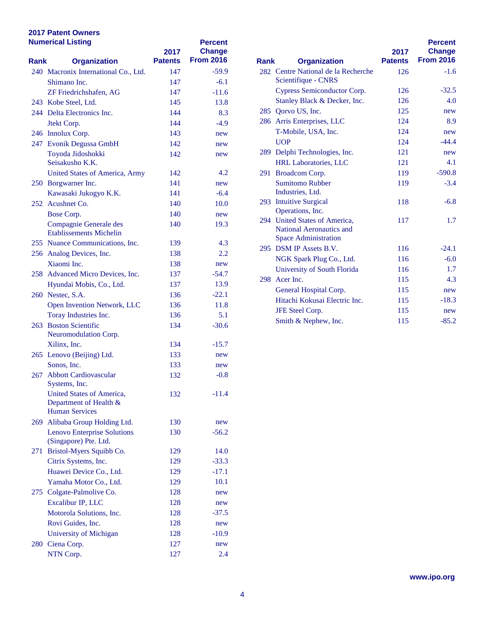| <b>Numerical Listing</b> |                                                             | 2017           | <b>Percent</b><br><b>Change</b> |             |                                                            |
|--------------------------|-------------------------------------------------------------|----------------|---------------------------------|-------------|------------------------------------------------------------|
| Rank                     | <b>Organization</b>                                         | <b>Patents</b> | <b>From 2016</b>                | <b>Rank</b> | <b>Organization</b>                                        |
|                          | 240 Macronix International Co., Ltd.                        | 147            | $-59.9$                         |             | 282 Centre National de la l                                |
|                          | Shimano Inc.                                                | 147            | $-6.1$                          |             | Scientifique - CNRS                                        |
|                          | ZF Friedrichshafen, AG                                      | 147            | $-11.6$                         |             | <b>Cypress Semiconductor</b>                               |
|                          | 243 Kobe Steel, Ltd.                                        | 145            | 13.8                            |             | <b>Stanley Black &amp; Deck</b>                            |
|                          | 244 Delta Electronics Inc.                                  | 144            | 8.3                             |             | 285 Qorvo US, Inc.                                         |
|                          | Jtekt Corp.                                                 | 144            | $-4.9$                          |             | 286 Arris Enterprises, LLC                                 |
|                          | 246 Innolux Corp.                                           | 143            | new                             |             | T-Mobile, USA, Inc.                                        |
|                          | 247 Evonik Degussa GmbH                                     | 142            | new                             |             | <b>UOP</b>                                                 |
|                          | Toyoda Jidoshokki                                           | 142            | new                             |             | 289 Delphi Technologies, l                                 |
|                          | Seisakusho K.K.                                             |                |                                 |             | <b>HRL</b> Laboratories, LL                                |
|                          | <b>United States of America, Army</b>                       | 142            | 4.2                             |             | 291 Broadcom Corp.                                         |
|                          | 250 Borgwarner Inc.                                         | 141            | new                             |             | <b>Sumitomo Rubber</b>                                     |
|                          | Kawasaki Jukogyo K.K.                                       | 141            | $-6.4$                          |             | Industries, Ltd.                                           |
|                          | 252 Acushnet Co.                                            | 140            | 10.0                            |             | 293 Intuitive Surgical                                     |
|                          | Bose Corp.                                                  | 140            | new                             |             | Operations, Inc.                                           |
|                          | Compagnie Generale des                                      | 140            | 19.3                            |             | 294 United States of Amer<br><b>National Aeronautics a</b> |
|                          | <b>Etablissements Michelin</b>                              |                |                                 |             | <b>Space Administration</b>                                |
|                          | 255 Nuance Communications, Inc.                             | 139            | 4.3                             |             | 295 DSM IP Assets B.V.                                     |
|                          | 256 Analog Devices, Inc.                                    | 138            | 2.2                             |             | NGK Spark Plug Co.,                                        |
|                          | Xiaomi Inc.                                                 | 138            | new                             |             | University of South Fl                                     |
|                          | 258 Advanced Micro Devices, Inc.                            | 137            | -54.7                           |             | 298 Acer Inc.                                              |
|                          | Hyundai Mobis, Co., Ltd.                                    | 137            | 13.9                            |             |                                                            |
|                          | 260 Nestec, S.A.                                            | 136            | $-22.1$                         |             | <b>General Hospital Corp</b>                               |
|                          | Open Invention Network, LLC                                 | 136            | 11.8                            |             | Hitachi Kokusai Electi                                     |
|                          | Toray Industries Inc.                                       | 136            | 5.1                             |             | JFE Steel Corp.                                            |
|                          | 263 Boston Scientific                                       | 134            | $-30.6$                         |             | Smith & Nephew, Inc.                                       |
|                          | Neuromodulation Corp.                                       |                |                                 |             |                                                            |
|                          | Xilinx, Inc.                                                | 134            | $-15.7$                         |             |                                                            |
|                          | 265 Lenovo (Beijing) Ltd.                                   | 133            | new                             |             |                                                            |
|                          | Sonos, Inc.                                                 | 133            | new                             |             |                                                            |
|                          | 267 Abbott Cardiovascular                                   | 132            | $-0.8$                          |             |                                                            |
|                          | Systems, Inc.                                               |                |                                 |             |                                                            |
|                          | United States of America,                                   | 132            | $-11.4$                         |             |                                                            |
|                          | Department of Health &                                      |                |                                 |             |                                                            |
|                          | <b>Human Services</b>                                       |                |                                 |             |                                                            |
|                          | 269 Alibaba Group Holding Ltd.                              | 130            | new                             |             |                                                            |
|                          | <b>Lenovo Enterprise Solutions</b><br>(Singapore) Pte. Ltd. | 130            | $-56.2$                         |             |                                                            |
|                          | 271 Bristol-Myers Squibb Co.                                | 129            | 14.0                            |             |                                                            |
|                          | Citrix Systems, Inc.                                        | 129            | $-33.3$                         |             |                                                            |
|                          | Huawei Device Co., Ltd.                                     |                | $-17.1$                         |             |                                                            |
|                          |                                                             | 129            | 10.1                            |             |                                                            |
|                          | Yamaha Motor Co., Ltd.<br>275 Colgate-Palmolive Co.         | 129            |                                 |             |                                                            |
|                          |                                                             | 128            | new                             |             |                                                            |
|                          | Excalibur IP, LLC                                           | 128            | new                             |             |                                                            |
|                          | Motorola Solutions, Inc.                                    | 128            | $-37.5$                         |             |                                                            |
|                          | Rovi Guides, Inc.                                           | 128            | new                             |             |                                                            |
|                          | University of Michigan                                      | 128            | $-10.9$                         |             |                                                            |
|                          | 280 Ciena Corp.                                             | 127            | new                             |             |                                                            |
|                          | NTN Corp.                                                   | 127            | 2.4                             |             |                                                            |

|             |                                                                                          | 2017           | <b>Percent</b><br><b>Change</b> |
|-------------|------------------------------------------------------------------------------------------|----------------|---------------------------------|
| <b>Rank</b> | <b>Organization</b>                                                                      | <b>Patents</b> | <b>From 2016</b>                |
|             | 282 Centre National de la Recherche<br>Scientifique - CNRS                               | 126            | $-1.6$                          |
|             | Cypress Semiconductor Corp.                                                              | 126            | $-32.5$                         |
|             | Stanley Black & Decker, Inc.                                                             | 126            | 4.0                             |
|             | 285 Oorvo US, Inc.                                                                       | 125            | new                             |
|             | 286 Arris Enterprises, LLC                                                               | 124            | 8.9                             |
|             | T-Mobile, USA, Inc.                                                                      | 124            | new                             |
|             | <b>UOP</b>                                                                               | 124            | $-44.4$                         |
|             | 289 Delphi Technologies, Inc.                                                            | 121            | new                             |
|             | <b>HRL Laboratories, LLC</b>                                                             | 121            | 4.1                             |
| 291         | Broadcom Corp.                                                                           | 119            | $-590.8$                        |
|             | <b>Sumitomo Rubber</b><br>Industries, Ltd.                                               | 119            | $-3.4$                          |
|             | 293 Intuitive Surgical<br>Operations, Inc.                                               | 118            | $-6.8$                          |
|             | 294 United States of America.<br>National Aeronautics and<br><b>Space Administration</b> | 117            | 1.7                             |
|             | 295 DSM IP Assets B.V.                                                                   | 116            | $-24.1$                         |
|             | NGK Spark Plug Co., Ltd.                                                                 | 116            | $-6.0$                          |
|             | University of South Florida                                                              | 116            | 1.7                             |
|             | 298 Acer Inc.                                                                            | 115            | 4.3                             |
|             | General Hospital Corp.                                                                   | 115            | new                             |
|             | Hitachi Kokusai Electric Inc.                                                            | 115            | $-18.3$                         |
|             | <b>JFE Steel Corp.</b>                                                                   | 115            | new                             |
|             | Smith & Nephew, Inc.                                                                     | 115            | $-85.2$                         |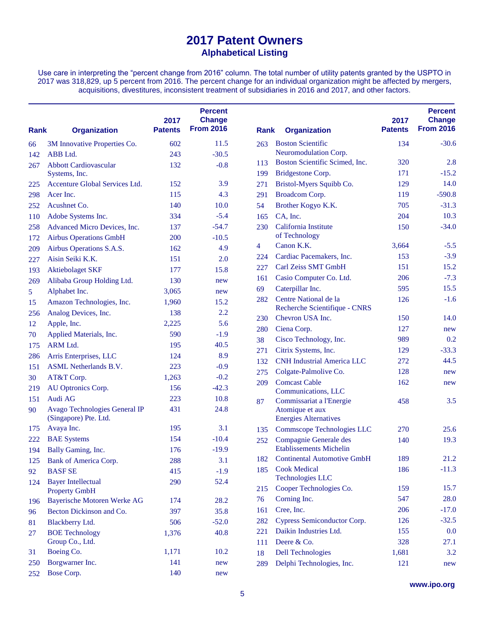Use care in interpreting the "percent change from 2016" column. The total number of utility patents granted by the USPTO in 2017 was 318,829, up 5 percent from 2016. The percent change for an individual organization might be affected by mergers, acquisitions, divestitures, inconsistent treatment of subsidiaries in 2016 and 2017, and other factors.

| Rank | <b>Organization</b>                                    | 2017<br><b>Patents</b> | <b>Percent</b><br><b>Change</b><br><b>From 2016</b> | <b>Rank</b>    | <b>Organization</b>                                | 2017<br><b>Patents</b> | <b>Percent</b><br><b>Change</b><br><b>From 2016</b> |
|------|--------------------------------------------------------|------------------------|-----------------------------------------------------|----------------|----------------------------------------------------|------------------------|-----------------------------------------------------|
| 66   | 3M Innovative Properties Co.                           | 602                    | 11.5                                                | 263            | <b>Boston Scientific</b>                           | 134                    | $-30.6$                                             |
| 142  | ABB Ltd.                                               | 243                    | $-30.5$                                             |                | Neuromodulation Corp.                              |                        |                                                     |
| 267  | <b>Abbott Cardiovascular</b>                           | 132                    | $-0.8$                                              | 113            | Boston Scientific Scimed, Inc.                     | 320                    | 2.8                                                 |
|      | Systems, Inc.                                          |                        |                                                     | 199            | Bridgestone Corp.                                  | 171                    | $-15.2$                                             |
| 225  | Accenture Global Services Ltd.                         | 152                    | 3.9                                                 | 271            | Bristol-Myers Squibb Co.                           | 129                    | 14.0                                                |
| 298  | Acer Inc.                                              | 115                    | 4.3                                                 | 291            | Broadcom Corp.                                     | 119                    | $-590.8$                                            |
| 252  | Acushnet Co.                                           | 140                    | 10.0                                                | 54             | Brother Kogyo K.K.                                 | 705                    | $-31.3$                                             |
| 110  | Adobe Systems Inc.                                     | 334                    | $-5.4$                                              | 165            | CA, Inc.                                           | 204                    | 10.3                                                |
| 258  | Advanced Micro Devices, Inc.                           | 137                    | $-54.7$                                             | 230            | California Institute                               | 150                    | $-34.0$                                             |
| 172  | <b>Airbus Operations GmbH</b>                          | 200                    | $-10.5$                                             |                | of Technology                                      |                        |                                                     |
| 209  | Airbus Operations S.A.S.                               | 162                    | 4.9                                                 | $\overline{4}$ | Canon K.K.                                         | 3,664                  | $-5.5$                                              |
| 227  | Aisin Seiki K.K.                                       | 151                    | 2.0                                                 | 224            | Cardiac Pacemakers, Inc.                           | 153                    | $-3.9$                                              |
| 193  | <b>Aktiebolaget SKF</b>                                | 177                    | 15.8                                                | 227            | Carl Zeiss SMT GmbH                                | 151                    | 15.2                                                |
| 269  | Alibaba Group Holding Ltd.                             | 130                    | new                                                 | 161            | Casio Computer Co. Ltd.                            | 206                    | $-7.3$                                              |
| 5    | Alphabet Inc.                                          | 3,065                  | new                                                 | 69             | Caterpillar Inc.                                   | 595                    | 15.5                                                |
| 15   | Amazon Technologies, Inc.                              | 1,960                  | 15.2                                                | 282            | Centre National de la                              | 126                    | $-1.6$                                              |
| 256  | Analog Devices, Inc.                                   | 138                    | 2.2                                                 |                | Recherche Scientifique - CNRS                      |                        |                                                     |
| 12   | Apple, Inc.                                            | 2,225                  | 5.6                                                 | 230            | Chevron USA Inc.                                   | 150                    | 14.0                                                |
| 70   | Applied Materials, Inc.                                | 590                    | $-1.9$                                              | 280            | Ciena Corp.                                        | 127                    | new                                                 |
| 175  | <b>ARM Ltd.</b>                                        | 195                    | 40.5                                                | 38             | Cisco Technology, Inc.                             | 989                    | 0.2                                                 |
| 286  | Arris Enterprises, LLC                                 | 124                    | 8.9                                                 | 271            | Citrix Systems, Inc.                               | 129                    | $-33.3$                                             |
| 151  | <b>ASML</b> Netherlands B.V.                           | 223                    | $-0.9$                                              | 132            | <b>CNH Industrial America LLC</b>                  | 272                    | 44.5                                                |
| 30   | AT&T Corp.                                             | 1,263                  | $-0.2$                                              | 275            | Colgate-Palmolive Co.                              | 128                    | new                                                 |
| 219  | AU Optronics Corp.                                     | 156                    | $-42.3$                                             | 209            | <b>Comcast Cable</b><br>Communications, LLC        | 162                    | new                                                 |
| 151  | Audi AG                                                | 223                    | 10.8                                                | 87             | Commissariat a l'Energie                           | 458                    | 3.5                                                 |
| 90   | Avago Technologies General IP<br>(Singapore) Pte. Ltd. | 431                    | 24.8                                                |                | Atomique et aux<br><b>Energies Alternatives</b>    |                        |                                                     |
| 175  | Avaya Inc.                                             | 195                    | 3.1                                                 | 135            | Commscope Technologies LLC                         | 270                    | 25.6                                                |
| 222  | <b>BAE</b> Systems                                     | 154                    | $-10.4$                                             | 252            | Compagnie Generale des                             | 140                    | 19.3                                                |
| 194  | Bally Gaming, Inc.                                     | 176                    | $-19.9$                                             |                | <b>Etablissements Michelin</b>                     |                        |                                                     |
| 125  | Bank of America Corp.                                  | 288                    | 3.1                                                 | 182            | <b>Continental Automotive GmbH</b>                 | 189                    | 21.2                                                |
| 92   | <b>BASFSE</b>                                          | 415                    | $-1.9$                                              | 185            | <b>Cook Medical</b>                                | 186                    | $-11.3$                                             |
| 124  | <b>Bayer Intellectual</b><br><b>Property GmbH</b>      | 290                    | 52.4                                                | 215            | <b>Technologies LLC</b><br>Cooper Technologies Co. | 159                    | 15.7                                                |
| 196  | <b>Bayerische Motoren Werke AG</b>                     | 174                    | 28.2                                                | 76             | Corning Inc.                                       | 547                    | 28.0                                                |
| 96   | Becton Dickinson and Co.                               | 397                    | 35.8                                                | 161            | Cree, Inc.                                         | 206                    | $-17.0$                                             |
|      | Blackberry Ltd.                                        | 506                    | $-52.0$                                             | 282            | Cypress Semiconductor Corp.                        | 126                    | $-32.5$                                             |
| 81   | <b>BOE Technology</b>                                  | 1,376                  | 40.8                                                | 221            | Daikin Industries Ltd.                             | 155                    | 0.0                                                 |
| 27   | Group Co., Ltd.                                        |                        |                                                     | 111            | Deere & Co.                                        | 328                    | 27.1                                                |
| 31   | Boeing Co.                                             | 1,171                  | 10.2                                                | 18             | <b>Dell Technologies</b>                           | 1,681                  | 3.2                                                 |
| 250  | Borgwarner Inc.                                        | 141                    | new                                                 | 289            | Delphi Technologies, Inc.                          | 121                    | new                                                 |
| 252  | Bose Corp.                                             | 140                    | new                                                 |                |                                                    |                        |                                                     |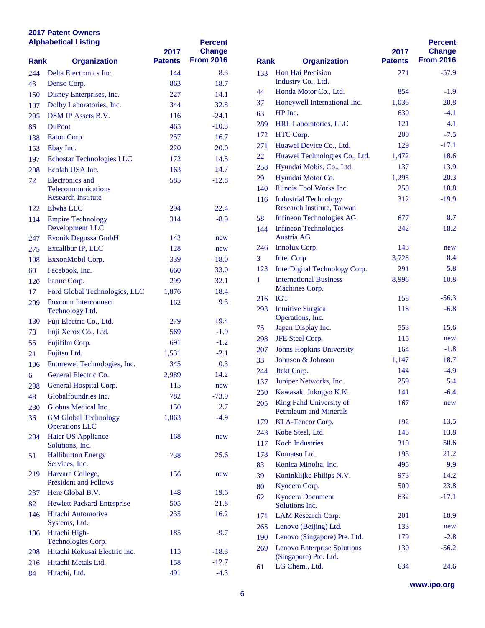| <b>Alphabetical Listing</b> |                                                      | 2017           | <b>Percent</b><br><b>Change</b> |             |                                            |
|-----------------------------|------------------------------------------------------|----------------|---------------------------------|-------------|--------------------------------------------|
| <b>Rank</b>                 | <b>Organization</b>                                  | <b>Patents</b> | <b>From 2016</b>                | <b>Rank</b> | <b>Organization</b>                        |
| 244                         | Delta Electronics Inc.                               | 144            | 8.3                             | 133         | Hon Hai Precision                          |
| 43                          | Denso Corp.                                          | 863            | 18.7                            |             | Industry Co., Ltd.                         |
| 150                         | Disney Enterprises, Inc.                             | 227            | 14.1                            | 44          | Honda Motor Co., Ltd.                      |
| 107                         | Dolby Laboratories, Inc.                             | 344            | 32.8                            | 37          | Honeywell International                    |
| 295                         | DSM IP Assets B.V.                                   | 116            | $-24.1$                         | 63          | HP Inc.                                    |
| 86                          | <b>DuPont</b>                                        | 465            | $-10.3$                         | 289         | <b>HRL Laboratories, LLC</b>               |
| 138                         | Eaton Corp.                                          | 257            | 16.7                            | 172         | HTC Corp.                                  |
| 153                         | Ebay Inc.                                            | 220            | 20.0                            | 271         | Huawei Device Co., Ltd                     |
| 197                         | Echostar Technologies LLC                            | 172            | 14.5                            | 22          | Huawei Technologies C                      |
| 208                         | Ecolab USA Inc.                                      | 163            | 14.7                            | 258         | Hyundai Mobis, Co., Ltd                    |
| 72                          | Electronics and                                      | 585            | $-12.8$                         | 29          | Hyundai Motor Co.                          |
|                             | Telecommunications                                   |                |                                 | 140         | Illinois Tool Works Inc.                   |
|                             | <b>Research Institute</b>                            |                |                                 | 116         | <b>Industrial Technology</b>               |
| 122                         | Elwha LLC                                            | 294            | 22.4                            |             | Research Institute, Taiw                   |
| 114                         | <b>Empire Technology</b>                             | 314            | $-8.9$                          | 58          | Infineon Technologies A                    |
| 247                         | Development LLC<br>Evonik Degussa GmbH               | 142            |                                 | 144         | <b>Infineon Technologies</b><br>Austria AG |
|                             |                                                      | 128            | new                             | 246         | Innolux Corp.                              |
| 275                         | Excalibur IP, LLC                                    |                | new                             | 3           | Intel Corp.                                |
| 108                         | ExxonMobil Corp.                                     | 339            | $-18.0$                         | 123         | <b>InterDigital Technology</b>             |
| 60                          | Facebook, Inc.                                       | 660            | 33.0                            |             | <b>International Business</b>              |
| 120                         | Fanuc Corp.                                          | 299            | 32.1                            | 1           | Machines Corp.                             |
| 17                          | Ford Global Technologies, LLC                        | 1,876          | 18.4                            | 216         | <b>IGT</b>                                 |
| 209                         | <b>Foxconn Interconnect</b><br>Technology Ltd.       | 162            | 9.3                             | 293         | <b>Intuitive Surgical</b>                  |
| 130                         | Fuji Electric Co., Ltd.                              | 279            | 19.4                            |             | Operations, Inc.                           |
|                             | Fuji Xerox Co., Ltd.                                 | 569            | $-1.9$                          | 75          | Japan Display Inc.                         |
| 73<br>55                    | Fujifilm Corp.                                       | 691            | $-1.2$                          | 298         | JFE Steel Corp.                            |
|                             | Fujitsu Ltd.                                         | 1,531          | $-2.1$                          | 207         | <b>Johns Hopkins Universi</b>              |
| 21                          |                                                      |                | 0.3                             | 33          | Johnson & Johnson                          |
| 106                         | Futurewei Technologies, Inc.<br>General Electric Co. | 345            | 14.2                            | 244         | Jtekt Corp.                                |
| 6                           |                                                      | 2,989          |                                 | 137         | Juniper Networks, Inc.                     |
| 298                         | General Hospital Corp.                               | 115            | new                             |             | 250 Kawasaki Jukogyo K.K.                  |
| 48                          | Globalfoundries Inc.                                 | 782            | $-73.9$                         | 205         | King Fahd University of                    |
| 230                         | Globus Medical Inc.                                  | 150            | 2.7                             |             | <b>Petroleum and Minerals</b>              |
| 36                          | <b>GM Global Technology</b><br><b>Operations LLC</b> | 1,063          | $-4.9$                          | 179         | KLA-Tencor Corp.                           |
| 204                         | Haier US Appliance                                   | 168            | new                             | 243         | Kobe Steel, Ltd.                           |
|                             | Solutions, Inc.                                      |                |                                 | 117         | <b>Koch Industries</b>                     |
| 51                          | <b>Halliburton Energy</b>                            | 738            | 25.6                            | 178         | Komatsu Ltd.                               |
|                             | Services, Inc.                                       |                |                                 | 83          | Konica Minolta, Inc.                       |
| 219                         | Harvard College,                                     | 156            | new                             | 39          | Koninklijke Philips N.V                    |
|                             | <b>President and Fellows</b>                         |                |                                 | 80          | Kyocera Corp.                              |
| 237                         | Here Global B.V.                                     | 148            | 19.6                            | 62          | <b>Kyocera Document</b>                    |
| 82                          | <b>Hewlett Packard Enterprise</b>                    | 505            | $-21.8$                         |             | Solutions Inc.                             |
| 146                         | Hitachi Automotive                                   | 235            | 16.2                            | 171         | LAM Research Corp.                         |
|                             | Systems, Ltd.                                        |                |                                 | 265         | Lenovo (Beijing) Ltd.                      |
| 186                         | Hitachi High-<br>Technologies Corp.                  | 185            | $-9.7$                          | 190         | Lenovo (Singapore) Pte.                    |
| 298                         | Hitachi Kokusai Electric Inc.                        | 115            | $-18.3$                         | 269         | Lenovo Enterprise Solut                    |
| 216                         | Hitachi Metals Ltd.                                  | 158            | $-12.7$                         |             | (Singapore) Pte. Ltd.                      |
| 84                          | Hitachi, Ltd.                                        | 491            | $-4.3$                          | 61          | LG Chem., Ltd.                             |
|                             |                                                      |                |                                 |             |                                            |

| Rank | <b>Organization</b>                                         | 2017<br><b>Patents</b> | <b>Percent</b><br><b>Change</b><br><b>From 2016</b> |
|------|-------------------------------------------------------------|------------------------|-----------------------------------------------------|
| 133  | <b>Hon Hai Precision</b>                                    | 271                    | $-57.9$                                             |
|      | Industry Co., Ltd.                                          |                        |                                                     |
| 44   | Honda Motor Co., Ltd.                                       | 854                    | $-1.9$                                              |
| 37   | Honeywell International Inc.                                | 1,036                  | 20.8                                                |
| 63   | HP Inc.                                                     | 630                    | $-4.1$                                              |
| 289  | <b>HRL Laboratories, LLC</b>                                | 121                    | 4.1                                                 |
| 172  | HTC Corp.                                                   | 200                    | $-7.5$                                              |
| 271  | Huawei Device Co., Ltd.                                     | 129                    | $-17.1$                                             |
| 22   | Huawei Technologies Co., Ltd.                               | 1,472                  | 18.6                                                |
| 258  | Hyundai Mobis, Co., Ltd.                                    | 137                    | 13.9                                                |
| 29   | Hyundai Motor Co.                                           | 1,295                  | 20.3                                                |
| 140  | Illinois Tool Works Inc.                                    | 250                    | 10.8                                                |
| 116  | <b>Industrial Technology</b><br>Research Institute, Taiwan  | 312                    | $-19.9$                                             |
| 58   | <b>Infineon Technologies AG</b>                             | 677                    | 8.7                                                 |
| 144  | <b>Infineon Technologies</b>                                | 242                    | 18.2                                                |
|      | Austria AG                                                  |                        |                                                     |
| 246  | Innolux Corp.                                               | 143                    | new                                                 |
| 3    | Intel Corp.                                                 | 3,726                  | 8.4                                                 |
| 123  | InterDigital Technology Corp.                               | 291                    | 5.8                                                 |
| 1    | <b>International Business</b>                               | 8,996                  | 10.8                                                |
|      | Machines Corp.                                              |                        |                                                     |
| 216  | <b>IGT</b>                                                  | 158                    | $-56.3$                                             |
| 293  | <b>Intuitive Surgical</b><br>Operations, Inc.               | 118                    | $-6.8$                                              |
| 75   | Japan Display Inc.                                          | 553                    | 15.6                                                |
| 298  | JFE Steel Corp.                                             | 115                    | new                                                 |
| 207  | <b>Johns Hopkins University</b>                             | 164                    | $-1.8$                                              |
| 33   | Johnson & Johnson                                           | 1,147                  | 18.7                                                |
| 244  | Jtekt Corp.                                                 | 144                    | $-4.9$                                              |
| 137  | Juniper Networks, Inc.                                      | 259                    | 5.4                                                 |
| 250  | Kawasaki Jukogyo K.K.                                       | 141                    | $-6.4$                                              |
| 205  | King Fahd University of<br><b>Petroleum and Minerals</b>    | 167                    | new                                                 |
| 179  | KLA-Tencor Corp.                                            | 192                    | 13.5                                                |
| 243  | Kobe Steel, Ltd.                                            | 145                    | 13.8                                                |
| 117  | <b>Koch Industries</b>                                      | 310                    | 50.6                                                |
| 178  | Komatsu Ltd.                                                | 193                    | 21.2                                                |
| 83   | Konica Minolta, Inc.                                        | 495                    | 9.9                                                 |
| 39   | Koninklijke Philips N.V.                                    | 973                    | $-14.2$                                             |
| 80   | Kyocera Corp.                                               | 509                    | 23.8                                                |
| 62   | <b>Kyocera Document</b><br>Solutions Inc.                   | 632                    | $-17.1$                                             |
| 171  | LAM Research Corp.                                          | 201                    | 10.9                                                |
| 265  | Lenovo (Beijing) Ltd.                                       | 133                    | new                                                 |
| 190  | Lenovo (Singapore) Pte. Ltd.                                | 179                    | $-2.8$                                              |
| 269  | <b>Lenovo Enterprise Solutions</b><br>(Singapore) Pte. Ltd. | 130                    | $-56.2$                                             |
| 61   | LG Chem., Ltd.                                              | 634                    | 24.6                                                |

**www.ipo.org**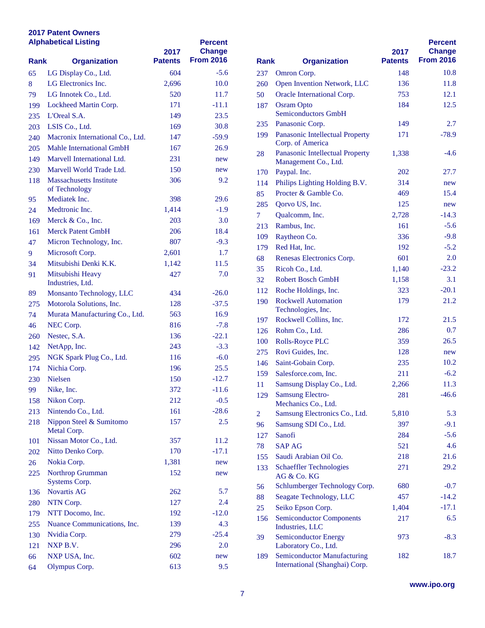| <b>Alphabetical Listing</b> |                                  | 2017           | <b>Percent</b><br><b>Change</b> |                |                                                    |  |
|-----------------------------|----------------------------------|----------------|---------------------------------|----------------|----------------------------------------------------|--|
| <b>Rank</b>                 | <b>Organization</b>              | <b>Patents</b> | <b>From 2016</b>                | <b>Rank</b>    | <b>Organization</b>                                |  |
| 65                          | LG Display Co., Ltd.             | 604            | $-5.6$                          | 237            | Omron Corp.                                        |  |
| 8                           | LG Electronics Inc.              | 2,696          | 10.0                            | 260            | <b>Open Invention Networl</b>                      |  |
| 79                          | LG Innotek Co., Ltd.             | 520            | 11.7                            | 50             | <b>Oracle International Cor</b>                    |  |
| 199                         | Lockheed Martin Corp.            | 171            | -11.1                           | 187            | <b>Osram Opto</b>                                  |  |
| 235                         | L'Oreal S.A.                     | 149            | 23.5                            |                | <b>Semiconductors GmbH</b>                         |  |
| 203                         | LSIS Co., Ltd.                   | 169            | 30.8                            | 235            | Panasonic Corp.                                    |  |
| 240                         | Macronix International Co., Ltd. | 147            | $-59.9$                         | 199            | Panasonic Intellectual P.                          |  |
| 205                         | <b>Mahle International GmbH</b>  | 167            | 26.9                            |                | Corp. of America<br>Panasonic Intellectual P.      |  |
| 149                         | Marvell International Ltd.       | 231            | new                             | 28             | Management Co., Ltd.                               |  |
| 230                         | Marvell World Trade Ltd.         | 150            | new                             | 170            | Paypal. Inc.                                       |  |
| 118                         | <b>Massachusetts Institute</b>   | 306            | 9.2                             | 114            | Philips Lighting Holding                           |  |
|                             | of Technology                    |                |                                 | 85             | Procter & Gamble Co.                               |  |
| 95                          | Mediatek Inc.                    | 398            | 29.6                            | 285            | Qorvo US, Inc.                                     |  |
| 24                          | Medtronic Inc.                   | 1,414          | $-1.9$                          | $\tau$         | Qualcomm, Inc.                                     |  |
| 169                         | Merck & Co., Inc.                | 203            | 3.0                             | 213            | Rambus, Inc.                                       |  |
| 161                         | <b>Merck Patent GmbH</b>         | 206            | 18.4                            | 109            | Raytheon Co.                                       |  |
| 47                          | Micron Technology, Inc.          | 807            | $-9.3$                          | 179            | Red Hat, Inc.                                      |  |
| 9                           | Microsoft Corp.                  | 2,601          | 1.7                             | 68             | <b>Renesas Electronics Cor</b>                     |  |
| 34                          | Mitsubishi Denki K.K.            | 1,142          | 11.5                            | 35             | Ricoh Co., Ltd.                                    |  |
| 91                          | Mitsubishi Heavy                 | 427            | 7.0                             | 32             | <b>Robert Bosch GmbH</b>                           |  |
|                             | Industries, Ltd.                 |                |                                 |                |                                                    |  |
| 89                          | Monsanto Technology, LLC         | 434            | $-26.0$                         | 112            | Roche Holdings, Inc.<br><b>Rockwell Automation</b> |  |
| 275                         | Motorola Solutions, Inc.         | 128            | $-37.5$                         | 190            | Technologies, Inc.                                 |  |
| 74                          | Murata Manufacturing Co., Ltd.   | 563            | 16.9                            | 197            | Rockwell Collins, Inc.                             |  |
| 46                          | NEC Corp.                        | 816            | $-7.8$                          | 126            | Rohm Co., Ltd.                                     |  |
| 260                         | Nestec, S.A.                     | 136            | $-22.1$                         | 100            | <b>Rolls-Royce PLC</b>                             |  |
| 142                         | NetApp, Inc.                     | 243            | $-3.3$                          | 275            | Rovi Guides, Inc.                                  |  |
| 295                         | NGK Spark Plug Co., Ltd.         | 116            | $-6.0$                          | 146            | Saint-Gobain Corp.                                 |  |
| 174                         | Nichia Corp.                     | 196            | 25.5                            | 159            | Salesforce.com, Inc.                               |  |
| 230                         | <b>Nielsen</b>                   | 150            | $-12.7$                         | 11             | Samsung Display Co., L                             |  |
| 99                          | Nike, Inc.                       | 372            | $-11.6$                         |                | <b>Samsung Electro-</b>                            |  |
| 158                         | Nikon Corp.                      | 212            | $-0.5$                          | 129            | Mechanics Co., Ltd.                                |  |
| 213                         | Nintendo Co., Ltd.               | 161            | $-28.6$                         | $\overline{2}$ | <b>Samsung Electronics Co</b>                      |  |
| 218                         | Nippon Steel & Sumitomo          | 157            | 2.5                             | 96             | Samsung SDI Co., Ltd.                              |  |
|                             | Metal Corp.                      |                |                                 | 127            | Sanofi                                             |  |
| 101                         | Nissan Motor Co., Ltd.           | 357            | 11.2                            | 78             | <b>SAP AG</b>                                      |  |
| 202                         | Nitto Denko Corp.                | 170            | $-17.1$                         | 155            | Saudi Arabian Oil Co.                              |  |
| 26                          | Nokia Corp.                      | 1,381          | new                             | 133            | <b>Schaeffler Technologies</b>                     |  |
| 225                         | Northrop Grumman                 | 152            | new                             |                | AG & Co. KG                                        |  |
|                             | Systems Corp.                    |                |                                 | 56             | Schlumberger Technolo                              |  |
| 136                         | <b>Novartis AG</b>               | 262            | 5.7                             | 88             | Seagate Technology, LI                             |  |
| 280                         | NTN Corp.                        | 127            | 2.4                             | 25             | Seiko Epson Corp.                                  |  |
| 179                         | NTT Docomo, Inc.                 | 192            | $-12.0$                         | 156            | <b>Semiconductor Compon</b>                        |  |
| 255                         | Nuance Communications, Inc.      | 139            | 4.3                             |                | Industries, LLC                                    |  |
| 130                         | Nvidia Corp.                     | 279            | $-25.4$                         | 39             | <b>Semiconductor Energy</b>                        |  |
| 121                         | NXP B.V.                         | 296            | 2.0                             |                | Laboratory Co., Ltd.                               |  |
| 66                          | NXP USA, Inc.                    | 602            | new                             | 189            | Semiconductor Manufac                              |  |
| 64                          | Olympus Corp.                    | 613            | 9.5                             |                | International (Shanghai)                           |  |

|             |                                                                      | 2017           | <b>Percent</b><br><b>Change</b> |
|-------------|----------------------------------------------------------------------|----------------|---------------------------------|
| <b>Rank</b> | <b>Organization</b>                                                  | <b>Patents</b> | <b>From 2016</b>                |
| 237         | Omron Corp.                                                          | 148            | 10.8                            |
| 260         | Open Invention Network, LLC                                          | 136            | 11.8                            |
| 50          | Oracle International Corp.                                           | 753            | 12.1                            |
| 187         | <b>Osram Opto</b><br><b>Semiconductors GmbH</b>                      | 184            | 12.5                            |
| 235         | Panasonic Corp.                                                      | 149            | 2.7                             |
| 199         | Panasonic Intellectual Property<br>Corp. of America                  | 171            | $-78.9$                         |
| 28          | Panasonic Intellectual Property<br>Management Co., Ltd.              | 1,338          | $-4.6$                          |
| 170         | Paypal. Inc.                                                         | 202            | 27.7                            |
| 114         | Philips Lighting Holding B.V.                                        | 314            | new                             |
| 85          | Procter & Gamble Co.                                                 | 469            | 15.4                            |
| 285         | Qorvo US, Inc.                                                       | 125            | new                             |
| 7           | Qualcomm, Inc.                                                       | 2,728          | $-14.3$                         |
| 213         | Rambus, Inc.                                                         | 161            | $-5.6$                          |
| 109         | Raytheon Co.                                                         | 336            | $-9.8$                          |
| 179         | Red Hat, Inc.                                                        | 192            | $-5.2$                          |
| 68          | Renesas Electronics Corp.                                            | 601            | 2.0                             |
| 35          | Ricoh Co., Ltd.                                                      | 1,140          | $-23.2$                         |
| 32          | <b>Robert Bosch GmbH</b>                                             | 1,158          | 3.1                             |
| 112         | Roche Holdings, Inc.                                                 | 323            | $-20.1$                         |
| 190         | <b>Rockwell Automation</b>                                           | 179            | 21.2                            |
|             | Technologies, Inc.                                                   |                |                                 |
| 197         | Rockwell Collins, Inc.                                               | 172            | 21.5                            |
| 126         | Rohm Co., Ltd.                                                       | 286            | 0.7                             |
| 100         | <b>Rolls-Royce PLC</b>                                               | 359            | 26.5                            |
| 275         | Rovi Guides, Inc.                                                    | 128            | new                             |
| 146         | Saint-Gobain Corp.                                                   | 235            | 10.2                            |
| 159         | Salesforce.com, Inc.                                                 | 211            | $-6.2$                          |
| 11          | Samsung Display Co., Ltd.                                            | 2,266          | 11.3                            |
| 129         | <b>Samsung Electro-</b><br>Mechanics Co., Ltd.                       | 281            | $-46.6$                         |
| 2           | Samsung Electronics Co., Ltd.                                        | 5,810          | 5.3                             |
| 96          | Samsung SDI Co., Ltd.                                                | 397            | $-9.1$                          |
| 127         | Sanofi                                                               | 284            | $-5.6$                          |
| 78          | <b>SAP AG</b>                                                        | 521            | 4.6                             |
| 155         | Saudi Arabian Oil Co.                                                | 218            | 21.6                            |
| 133         | <b>Schaeffler Technologies</b><br>AG & Co. KG                        | 271            | 29.2                            |
| 56          | Schlumberger Technology Corp.                                        | 680            | $-0.7$                          |
| 88          | Seagate Technology, LLC                                              | 457            | $-14.2$                         |
| 25          | Seiko Epson Corp.                                                    | 1,404          | $-17.1$                         |
| 156         | <b>Semiconductor Components</b><br>Industries, LLC                   | 217            | 6.5                             |
| 39          | <b>Semiconductor Energy</b><br>Laboratory Co., Ltd.                  | 973            | $-8.3$                          |
| 189         | <b>Semiconductor Manufacturing</b><br>International (Shanghai) Corp. | 182            | 18.7                            |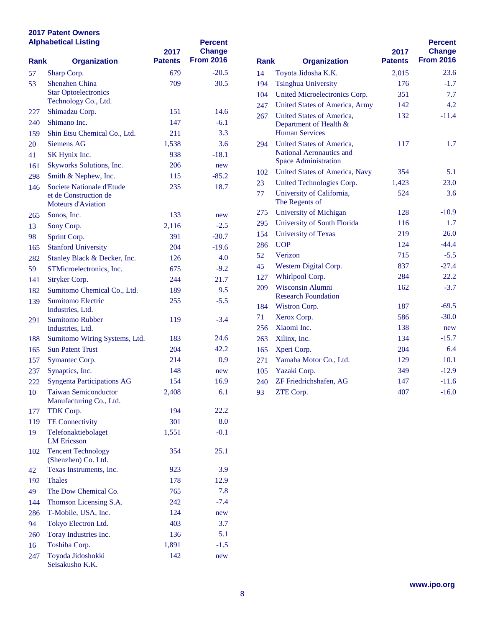| <b>Alphabetical Listing</b> |                                                                                 | 2017           | <b>Percent</b><br><b>Change</b> |             |                                                                  |
|-----------------------------|---------------------------------------------------------------------------------|----------------|---------------------------------|-------------|------------------------------------------------------------------|
| <b>Rank</b>                 | <b>Organization</b>                                                             | <b>Patents</b> | <b>From 2016</b>                | <b>Rank</b> | <b>Organization</b>                                              |
| 57                          | Sharp Corp.                                                                     | 679            | $-20.5$                         | 14          | Toyota Jidosha K.K.                                              |
| 53                          | <b>Shenzhen China</b>                                                           | 709            | 30.5                            | 194         | <b>Tsinghua University</b>                                       |
|                             | <b>Star Optoelectronics</b>                                                     |                |                                 | 104         | <b>United Microelectronics</b>                                   |
|                             | Technology Co., Ltd.                                                            |                |                                 | 247         | <b>United States of Americ</b>                                   |
| 227                         | Shimadzu Corp.                                                                  | 151            | 14.6                            | 267         | <b>United States of Americ</b>                                   |
| 240                         | Shimano Inc.                                                                    | 147            | $-6.1$                          |             | Department of Health &                                           |
| 159                         | Shin Etsu Chemical Co., Ltd.                                                    | 211            | 3.3                             |             | <b>Human Services</b>                                            |
| 20                          | <b>Siemens AG</b>                                                               | 1,538          | 3.6                             | 294         | <b>United States of Americ</b><br><b>National Aeronautics an</b> |
| 41                          | SK Hynix Inc.                                                                   | 938            | $-18.1$                         |             | <b>Space Administration</b>                                      |
| 161                         | Skyworks Solutions, Inc.                                                        | 206            | new                             | 102         | <b>United States of Americ</b>                                   |
| 298                         | Smith & Nephew, Inc.                                                            | 115            | $-85.2$                         | 23          | <b>United Technologies Co</b>                                    |
| 146                         | Societe Nationale d'Etude<br>et de Construction de<br><b>Moteurs d'Aviation</b> | 235            | 18.7                            | 77          | University of California<br>The Regents of                       |
| 265                         | Sonos, Inc.                                                                     | 133            | new                             | 275         | University of Michigan                                           |
| 13                          | Sony Corp.                                                                      | 2,116          | $-2.5$                          | 295         | University of South Flor                                         |
| 98                          | Sprint Corp.                                                                    | 391            | $-30.7$                         | 154         | <b>University of Texas</b>                                       |
| 165                         | <b>Stanford University</b>                                                      | 204            | $-19.6$                         | 286         | <b>UOP</b>                                                       |
| 282                         | Stanley Black & Decker, Inc.                                                    | 126            | 4.0                             | 52          | Verizon                                                          |
| 59                          | STMicroelectronics, Inc.                                                        | 675            | $-9.2$                          | 45          | Western Digital Corp.                                            |
|                             |                                                                                 | 244            | 21.7                            | 127         | Whirlpool Corp.                                                  |
| 141                         | Stryker Corp.<br>Sumitomo Chemical Co., Ltd.                                    | 189            | 9.5                             | 209         | <b>Wisconsin Alumni</b>                                          |
| 182<br>139                  | <b>Sumitomo Electric</b>                                                        | 255            | $-5.5$                          |             | <b>Research Foundation</b>                                       |
|                             | Industries, Ltd.                                                                |                |                                 | 184         | Wistron Corp.                                                    |
| 291                         | <b>Sumitomo Rubber</b>                                                          | 119            | $-3.4$                          | 71          | Xerox Corp.                                                      |
|                             | Industries, Ltd.                                                                |                |                                 | 256         | Xiaomi Inc.                                                      |
| 188                         | Sumitomo Wiring Systems, Ltd.                                                   | 183            | 24.6                            | 263         | Xilinx, Inc.                                                     |
| 165                         | <b>Sun Patent Trust</b>                                                         | 204            | 42.2                            | 165         | Xperi Corp.                                                      |
| 157                         | Symantec Corp.                                                                  | 214            | 0.9                             | 271         | Yamaha Motor Co., Ltd                                            |
| 237                         | Synaptics, Inc.                                                                 | 148            | new                             | 105         | Yazaki Corp.                                                     |
| 222                         | <b>Syngenta Participations AG</b>                                               | 154            | 16.9                            | 240         | ZF Friedrichshafen, AG                                           |
| 10                          | <b>Taiwan Semiconductor</b><br>Manufacturing Co., Ltd.                          | 2,408          | 6.1                             | 93          | ZTE Corp.                                                        |
| 177                         | TDK Corp.                                                                       | 194            | 22.2                            |             |                                                                  |
| 119                         | <b>TE Connectivity</b>                                                          | 301            | 8.0                             |             |                                                                  |
| 19                          | Telefonaktiebolaget<br><b>LM</b> Ericsson                                       | 1,551          | $-0.1$                          |             |                                                                  |
| 102                         | <b>Tencent Technology</b><br>(Shenzhen) Co. Ltd.                                | 354            | 25.1                            |             |                                                                  |
| 42                          | Texas Instruments, Inc.                                                         | 923            | 3.9                             |             |                                                                  |
| 192                         | <b>Thales</b>                                                                   | 178            | 12.9                            |             |                                                                  |
| 49                          | The Dow Chemical Co.                                                            | 765            | 7.8                             |             |                                                                  |
| 144                         | Thomson Licensing S.A.                                                          | 242            | $-7.4$                          |             |                                                                  |
| 286                         | T-Mobile, USA, Inc.                                                             | 124            | new                             |             |                                                                  |
| 94                          | Tokyo Electron Ltd.                                                             | 403            | 3.7                             |             |                                                                  |
| 260                         | Toray Industries Inc.                                                           | 136            | 5.1                             |             |                                                                  |
| 16                          | Toshiba Corp.                                                                   | 1,891          | $-1.5$                          |             |                                                                  |
| 247                         | Toyoda Jidoshokki<br>Seisakusho K.K.                                            | 142            | new                             |             |                                                                  |

| Rank<br><b>Organization</b> |                                                                                      | 2017<br><b>Patents</b> | <b>Percent</b><br><b>Change</b><br><b>From 2016</b> |
|-----------------------------|--------------------------------------------------------------------------------------|------------------------|-----------------------------------------------------|
| 14                          | Toyota Jidosha K.K.                                                                  | 2,015                  | 23.6                                                |
| 194                         | <b>Tsinghua University</b>                                                           | 176                    | $-1.7$                                              |
| 104                         | United Microelectronics Corp.                                                        | 351                    | 7.7                                                 |
| 247                         | United States of America, Army                                                       | 142                    | 4.2                                                 |
| 267                         | United States of America,<br>Department of Health &<br><b>Human Services</b>         | 132                    | $-11.4$                                             |
| 294                         | United States of America,<br>National Aeronautics and<br><b>Space Administration</b> | 117                    | 1.7                                                 |
| 102                         | United States of America, Navy                                                       | 354                    | 5.1                                                 |
| 23                          | United Technologies Corp.                                                            | 1,423                  | 23.0                                                |
| 77                          | University of California,<br>The Regents of                                          | 524                    | 3.6                                                 |
| 275                         | <b>University of Michigan</b>                                                        | 128                    | $-10.9$                                             |
| 295                         | University of South Florida                                                          | 116                    | 1.7                                                 |
| 154                         | <b>University of Texas</b>                                                           | 219                    | 26.0                                                |
| 286                         | <b>UOP</b>                                                                           | 124                    | $-44.4$                                             |
| 52                          | Verizon                                                                              | 715                    | $-5.5$                                              |
| 45                          | Western Digital Corp.                                                                | 837                    | $-27.4$                                             |
| 127                         | Whirlpool Corp.                                                                      | 284                    | 22.2                                                |
| 209                         | <b>Wisconsin Alumni</b><br><b>Research Foundation</b>                                | 162                    | $-3.7$                                              |
| 184                         | Wistron Corp.                                                                        | 187                    | $-69.5$                                             |
| 71                          | Xerox Corp.                                                                          | 586                    | $-30.0$                                             |
| 256                         | Xiaomi Inc.                                                                          | 138                    | new                                                 |
| 263                         | Xilinx, Inc.                                                                         | 134                    | $-15.7$                                             |
| 165                         | Xperi Corp.                                                                          | 204                    | 6.4                                                 |
| 271                         | Yamaha Motor Co., Ltd.                                                               | 129                    | 10.1                                                |
| 105                         | Yazaki Corp.                                                                         | 349                    | $-12.9$                                             |
| 240                         | ZF Friedrichshafen, AG                                                               | 147                    | $-11.6$                                             |
| 93                          | ZTE Corp.                                                                            | 407                    | $-16.0$                                             |